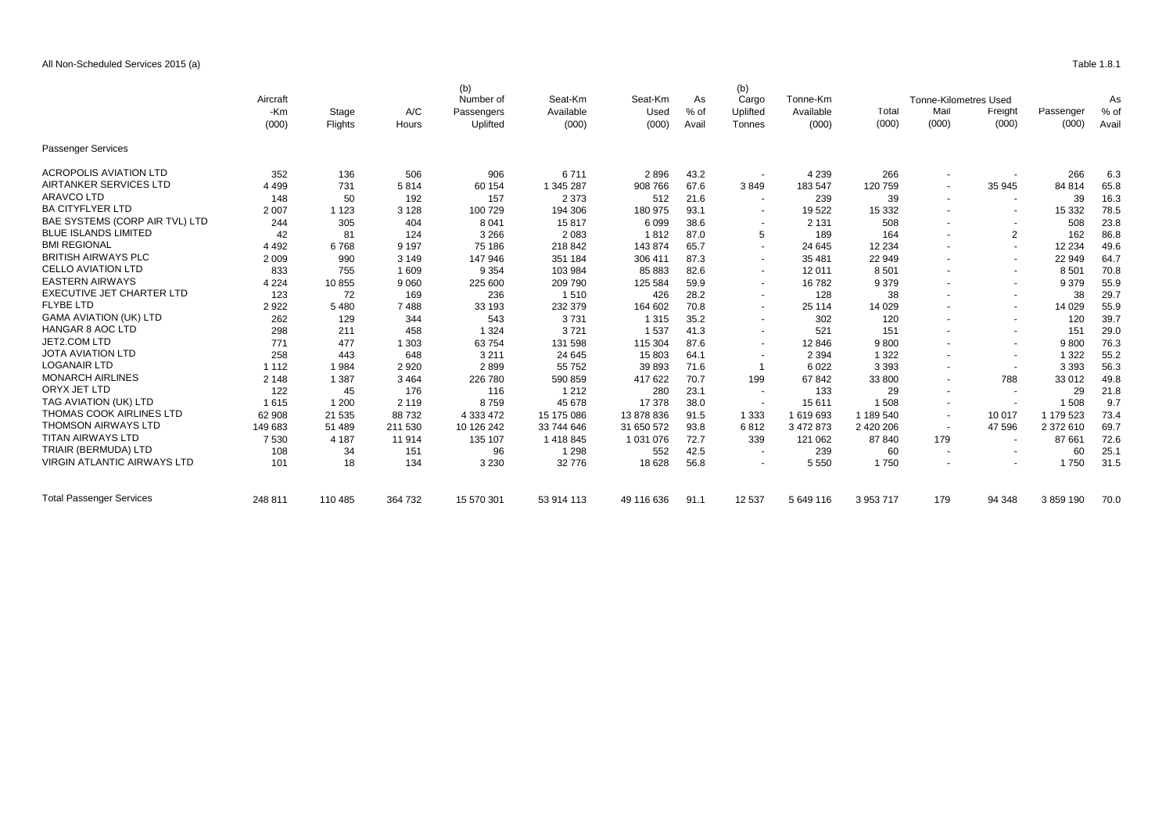## All Non-Scheduled Services 2015 (a) Table 1.8.1

|                                    | Aircraft |         |         | (b)<br>Number of | Seat-Km    | Seat-Km    | As     | (b)<br>Cargo             | Tonne-Km  |           | <b>Tonne-Kilometres Used</b> |                          |           | As     |
|------------------------------------|----------|---------|---------|------------------|------------|------------|--------|--------------------------|-----------|-----------|------------------------------|--------------------------|-----------|--------|
|                                    | -Km      | Stage   | A/C     | Passengers       | Available  | Used       | $%$ of | Uplifted                 | Available | I otal    | Mail                         | Freight                  | Passenger | $%$ of |
|                                    | (000)    | Flights | Hours   | Uplifted         | (000)      | (000)      | Avail  | Tonnes                   | (000)     | (000)     | (000)                        | (000)                    | (000)     | Avail  |
| <b>Passenger Services</b>          |          |         |         |                  |            |            |        |                          |           |           |                              |                          |           |        |
| <b>ACROPOLIS AVIATION LTD</b>      | 352      | 136     | 506     | 906              | 6711       | 2896       | 43.2   |                          | 4 2 3 9   | 266       |                              |                          | 266       | 6.3    |
| AIRTANKER SERVICES LTD             | 4 4 9 9  | 731     | 5814    | 60 154           | 1 345 287  | 908 766    | 67.6   | 3849                     | 183 547   | 120 759   | $\sim$                       | 35 945                   | 84 814    | 65.8   |
| <b>ARAVCO LTD</b>                  | 148      | 50      | 192     | 157              | 2 3 7 3    | 512        | 21.6   | $\overline{\phantom{a}}$ | 239       | 39        | $\sim$                       | $\sim$                   | 39        | 16.3   |
| <b>BA CITYFLYER LTD</b>            | 2 0 0 7  | 1 1 2 3 | 3 1 2 8 | 100 729          | 194 306    | 180 975    | 93.1   | $\overline{\phantom{a}}$ | 19 522    | 15 3 32   |                              | $\sim$                   | 15 3 32   | 78.5   |
| BAE SYSTEMS (CORP AIR TVL) LTD     | 244      | 305     | 404     | 8 0 4 1          | 15817      | 6 0 9 9    | 38.6   | $\overline{\phantom{a}}$ | 2 1 3 1   | 508       |                              | $\sim$                   | 508       | 23.8   |
| <b>BLUE ISLANDS LIMITED</b>        | 42       | 81      | 124     | 3 2 6 6          | 2083       | 1812       | 87.0   | 5                        | 189       | 164       |                              | 2                        | 162       | 86.8   |
| <b>BMI REGIONAL</b>                | 4 4 9 2  | 6768    | 9 1 9 7 | 75 186           | 218 842    | 143874     | 65.7   | $\overline{\phantom{a}}$ | 24 645    | 12 2 34   | $\sim$                       | $\overline{\phantom{a}}$ | 12 2 34   | 49.6   |
| <b>BRITISH AIRWAYS PLC</b>         | 2 0 0 9  | 990     | 3 1 4 9 | 147 946          | 351 184    | 306 411    | 87.3   | $\sim$                   | 35 481    | 22 949    | $\sim$                       | $\sim$                   | 22 949    | 64.7   |
| <b>CELLO AVIATION LTD</b>          | 833      | 755     | 1 609   | 9 3 5 4          | 103 984    | 85 883     | 82.6   |                          | 12 011    | 8 5 0 1   |                              | $\sim$                   | 8 5 0 1   | 70.8   |
| <b>EASTERN AIRWAYS</b>             | 4 2 2 4  | 10855   | 9 0 6 0 | 225 600          | 209 790    | 125 584    | 59.9   | $\overline{a}$           | 16 782    | 9 3 7 9   |                              | $\sim$                   | 9 3 7 9   | 55.9   |
| <b>EXECUTIVE JET CHARTER LTD</b>   | 123      | 72      | 169     | 236              | 1510       | 426        | 28.2   | $\sim$                   | 128       | 38        |                              | $\sim$                   | 38        | 29.7   |
| <b>FLYBE LTD</b>                   | 2922     | 5480    | 7488    | 33 193           | 232 379    | 164 602    | 70.8   | $\overline{\phantom{a}}$ | 25 114    | 14 0 29   |                              | $\sim$                   | 14 0 29   | 55.9   |
| <b>GAMA AVIATION (UK) LTD</b>      | 262      | 129     | 344     | 543              | 3731       | 1 3 1 5    | 35.2   | $\overline{a}$           | 302       | 120       |                              | $\sim$                   | 120       | 39.7   |
| <b>HANGAR 8 AOC LTD</b>            | 298      | 211     | 458     | 1 3 2 4          | 3721       | 1537       | 41.3   |                          | 521       | 151       |                              | $\sim$                   | 151       | 29.0   |
| JET2.COM LTD                       | 771      | 477     | 1 3 0 3 | 63754            | 131 598    | 115 304    | 87.6   | $\overline{\phantom{a}}$ | 12 846    | 9800      | $\sim$                       | $\sim$                   | 9800      | 76.3   |
| <b>JOTA AVIATION LTD</b>           | 258      | 443     | 648     | 3 2 1 1          | 24 645     | 15 803     | 64.1   |                          | 2 3 9 4   | 1 3 2 2   | $\sim$                       | $\sim$                   | 1 3 2 2   | 55.2   |
| <b>LOGANAIR LTD</b>                | 1 1 1 2  | 1984    | 2 9 2 0 | 2899             | 55 752     | 39 893     | 71.6   | -1                       | 6022      | 3 3 9 3   |                              | $\sim$                   | 3 3 9 3   | 56.3   |
| <b>MONARCH AIRLINES</b>            | 2 1 4 8  | 1 3 8 7 | 3 4 6 4 | 226 780          | 590 859    | 417 622    | 70.7   | 199                      | 67 842    | 33 800    | $\overline{\phantom{a}}$     | 788                      | 33 012    | 49.8   |
| ORYX JET LTD                       | 122      | 45      | 176     | 116              | 1 2 1 2    | 280        | 23.1   | $\overline{\phantom{a}}$ | 133       | 29        | $\overline{\phantom{a}}$     | $\overline{\phantom{a}}$ | 29        | 21.8   |
| TAG AVIATION (UK) LTD              | 1615     | 1 200   | 2 1 1 9 | 8759             | 45 678     | 17 378     | 38.0   | $\overline{\phantom{a}}$ | 15 611    | 1 508     |                              |                          | 1 508     | 9.7    |
| THOMAS COOK AIRLINES LTD           | 62 908   | 21 5 35 | 88732   | 4 3 3 4 7 2      | 15 175 086 | 13 878 836 | 91.5   | 1 3 3 3                  | 1619693   | 1 189 540 | $\sim$                       | 10 017                   | 1 179 523 | 73.4   |
| <b>THOMSON AIRWAYS LTD</b>         | 149 683  | 51 489  | 211 530 | 10 126 242       | 33 744 646 | 31 650 572 | 93.8   | 6812                     | 3 472 873 | 2 420 206 | $\sim$                       | 47 596                   | 2 372 610 | 69.7   |
| <b>TITAN AIRWAYS LTD</b>           | 7530     | 4 1 8 7 | 11 914  | 135 107          | 1418845    | 1 031 076  | 72.7   | 339                      | 121 062   | 87 840    | 179                          | $\overline{\phantom{a}}$ | 87 661    | 72.6   |
| TRIAIR (BERMUDA) LTD               | 108      | 34      | 151     | 96               | 1 2 9 8    | 552        | 42.5   | $\overline{\phantom{a}}$ | 239       | 60        | $\overline{\phantom{a}}$     | $\blacksquare$           | 60        | 25.1   |
| <b>VIRGIN ATLANTIC AIRWAYS LTD</b> | 101      | 18      | 134     | 3 2 3 0          | 32 776     | 18 6 28    | 56.8   |                          | 5 5 5 0   | 1750      |                              |                          | 1750      | 31.5   |
| <b>Total Passenger Services</b>    | 248 811  | 110 485 | 364 732 | 15 570 301       | 53 914 113 | 49 116 636 | 91.1   | 12 537                   | 5 649 116 | 3 953 717 | 179                          | 94 348                   | 3859190   | 70.0   |